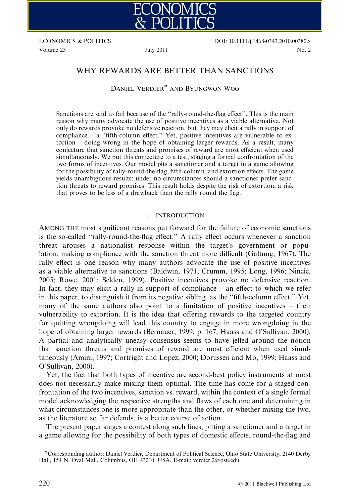Volume  $23$  July  $2011$  No. 2

ECONOMICS & POLITICS DOI: 10.1111/j.1468-0343.2010.00380.x

# WHY REWARDS ARE BETTER THAN SANCTIONS

DANIEL VERDIER<sup>\*</sup> AND BYUNGWON WOO

Sanctions are said to fail because of the ''rally-round-the-flag effect''. This is the main reason why many advocate the use of positive incentives as a viable alternative. Not only do rewards provoke no defensive reaction, but they may elicit a rally in support of compliance – a ''fifth-column effect.'' Yet, positive incentives are vulnerable to extortion – doing wrong in the hope of obtaining larger rewards. As a result, many conjecture that sanction threats and promises of reward are most efficient when used simultaneously. We put this conjecture to a test, staging a formal confrontation of the two forms of incentives. Our model pits a sanctioner and a target in a game allowing for the possibility of rally-round-the-flag, fifth-column, and extortion effects. The game yields unambiguous results: under no circumstances should a sanctioner prefer sanction threats to reward promises. This result holds despite the risk of extortion, a risk that proves to be less of a drawback than the rally round the flag.

#### 1. INTRODUCTION

AMONG THE most significant reasons put forward for the failure of economic sanctions is the so-called ''rally-round-the-flag effect.'' A rally effect occurs whenever a sanction threat arouses a nationalist response within the target's government or population, making compliance with the sanction threat more difficult (Galtung, 1967). The rally effect is one reason why many authors advocate the use of positive incentives as a viable alternative to sanctions (Baldwin, 1971; Crumm, 1995; Long, 1996; Nincic, 2005; Rowe, 2001; Selden, 1999). Positive incentives provoke no defensive reaction. In fact, they may elicit a rally in support of compliance – an effect to which we refer in this paper, to distinguish it from its negative sibling, as the ''fifth-column effect.'' Yet, many of the same authors also point to a limitation of positive incentives – their vulnerability to extortion. It is the idea that offering rewards to the targeted country for quitting wrongdoing will lead this country to engage in more wrongdoing in the hope of obtaining larger rewards (Bernauer, 1999, p. 167; Haass and O'Sullivan, 2000). A partial and analytically uneasy consensus seems to have jelled around the notion that sanction threats and promises of reward are most efficient when used simultaneously (Amini, 1997; Cortright and Lopez, 2000; Dorussen and Mo, 1999; Haass and O'Sullivan, 2000).

Yet, the fact that both types of incentive are second-best policy instruments at most does not necessarily make mixing them optimal. The time has come for a staged confrontation of the two incentives, sanction vs. reward, within the context of a single formal model acknowledging the respective strengths and flaws of each one and determining in what circumstances one is more appropriate than the other, or whether mixing the two, as the literature so far defends, is a better course of action.

The present paper stages a contest along such lines, pitting a sanctioner and a target in a game allowing for the possibility of both types of domestic effects, round-the-flag and

<sup>-</sup>Corresponding author: Daniel Verdier, Department of Political Science, Ohio State University, 2140 Derby Hall, 154 N. Oval Mall, Columbus, OH 43210, USA. E-mail: [verdier.2@osu.edu](mailto:verdier.2@osu.edu)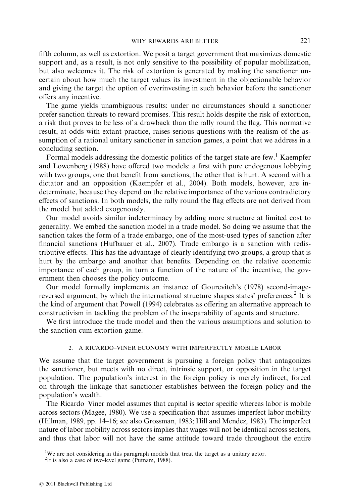fifth column, as well as extortion. We posit a target government that maximizes domestic support and, as a result, is not only sensitive to the possibility of popular mobilization, but also welcomes it. The risk of extortion is generated by making the sanctioner uncertain about how much the target values its investment in the objectionable behavior and giving the target the option of overinvesting in such behavior before the sanctioner offers any incentive.

The game yields unambiguous results: under no circumstances should a sanctioner prefer sanction threats to reward promises. This result holds despite the risk of extortion, a risk that proves to be less of a drawback than the rally round the flag. This normative result, at odds with extant practice, raises serious questions with the realism of the assumption of a rational unitary sanctioner in sanction games, a point that we address in a concluding section.

Formal models addressing the domestic politics of the target state are few.<sup>1</sup> Kaempfer and Lowenberg (1988) have offered two models: a first with pure endogenous lobbying with two groups, one that benefit from sanctions, the other that is hurt. A second with a dictator and an opposition (Kaempfer et al., 2004). Both models, however, are indeterminate, because they depend on the relative importance of the various contradictory effects of sanctions. In both models, the rally round the flag effects are not derived from the model but added exogenously.

Our model avoids similar indeterminacy by adding more structure at limited cost to generality. We embed the sanction model in a trade model. So doing we assume that the sanction takes the form of a trade embargo, one of the most-used types of sanction after financial sanctions (Hufbauer et al., 2007). Trade embargo is a sanction with redistributive effects. This has the advantage of clearly identifying two groups, a group that is hurt by the embargo and another that benefits. Depending on the relative economic importance of each group, in turn a function of the nature of the incentive, the government then chooses the policy outcome.

Our model formally implements an instance of Gourevitch's (1978) second-imagereversed argument, by which the international structure shapes states' preferences.<sup>2</sup> It is the kind of argument that Powell (1994) celebrates as offering an alternative approach to constructivism in tackling the problem of the inseparability of agents and structure.

We first introduce the trade model and then the various assumptions and solution to the sanction cum extortion game.

### 2. A RICARDO–VINER ECONOMY WITH IMPERFECTLY MOBILE LABOR

We assume that the target government is pursuing a foreign policy that antagonizes the sanctioner, but meets with no direct, intrinsic support, or opposition in the target population. The population's interest in the foreign policy is merely indirect, forced on through the linkage that sanctioner establishes between the foreign policy and the population's wealth.

The Ricardo–Viner model assumes that capital is sector specific whereas labor is mobile across sectors (Magee, 1980). We use a specification that assumes imperfect labor mobility (Hillman, 1989, pp. 14–16; see also Grossman, 1983; Hill and Mendez, 1983). The imperfect nature of labor mobility across sectors implies that wages will not be identical across sectors, and thus that labor will not have the same attitude toward trade throughout the entire

<sup>&</sup>lt;sup>1</sup>We are not considering in this paragraph models that treat the target as a unitary actor.

<sup>&</sup>lt;sup>2</sup>It is also a case of two-level game (Putnam, 1988).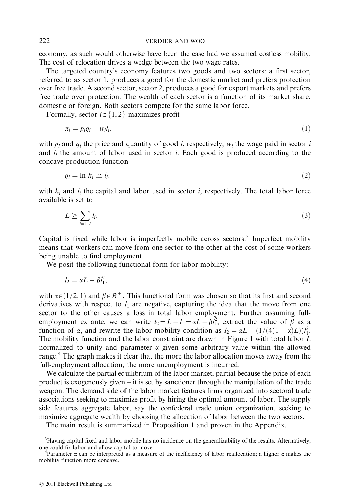economy, as such would otherwise have been the case had we assumed costless mobility. The cost of relocation drives a wedge between the two wage rates.

The targeted country's economy features two goods and two sectors: a first sector, referred to as sector 1, produces a good for the domestic market and prefers protection over free trade. A second sector, sector 2, produces a good for export markets and prefers free trade over protection. The wealth of each sector is a function of its market share, domestic or foreign. Both sectors compete for the same labor force.

Formally, sector  $i \in \{1, 2\}$  maximizes profit

$$
\pi_i = p_i q_i - w_i l_i,\tag{1}
$$

with  $p_i$  and  $q_i$  the price and quantity of good i, respectively,  $w_i$  the wage paid in sector i and  $l_i$  the amount of labor used in sector i. Each good is produced according to the concave production function

$$
q_i = \ln k_i \ln l_i,\tag{2}
$$

with  $k_i$  and  $l_i$  the capital and labor used in sector i, respectively. The total labor force available is set to

$$
L \ge \sum_{i=1,2} l_i. \tag{3}
$$

Capital is fixed while labor is imperfectly mobile across sectors.<sup>3</sup> Imperfect mobility means that workers can move from one sector to the other at the cost of some workers being unable to find employment.

We posit the following functional form for labor mobility:

$$
l_2 = \alpha L - \beta l_1^2,\tag{4}
$$

with  $\alpha \in (1/2, 1)$  and  $\beta \in \mathbb{R}^+$ . This functional form was chosen so that its first and second derivatives with respect to  $l_1$  are negative, capturing the idea that the move from one sector to the other causes a loss in total labor employment. Further assuming fullemployment ex ante, we can write  $l_2 = L - l_1 = \alpha L - \beta l_1^2$ , extract the value of  $\beta$  as a function of  $\alpha$ , and rewrite the labor mobility condition as  $l_2 = \alpha L - (1/(4(1-\alpha)L))l_1^2$ . The mobility function and the labor constraint are drawn in Figure 1 with total labor L normalized to unity and parameter  $\alpha$  given some arbitrary value within the allowed range.<sup>4</sup> The graph makes it clear that the more the labor allocation moves away from the full-employment allocation, the more unemployment is incurred.

We calculate the partial equilibrium of the labor market, partial because the price of each product is exogenously given  $-$  it is set by sanctioner through the manipulation of the trade weapon. The demand side of the labor market features firms organized into sectoral trade associations seeking to maximize profit by hiring the optimal amount of labor. The supply side features aggregate labor, say the confederal trade union organization, seeking to maximize aggregate wealth by choosing the allocation of labor between the two sectors.

The main result is summarized in Proposition 1 and proven in the Appendix.

<sup>&</sup>lt;sup>3</sup>Having capital fixed and labor mobile has no incidence on the generalizability of the results. Alternatively, one could fix labor and allow capital to move. <sup>4</sup>

<sup>&</sup>lt;sup>4</sup>Parameter  $\alpha$  can be interpreted as a measure of the inefficiency of labor reallocation; a higher  $\alpha$  makes the mobility function more concave.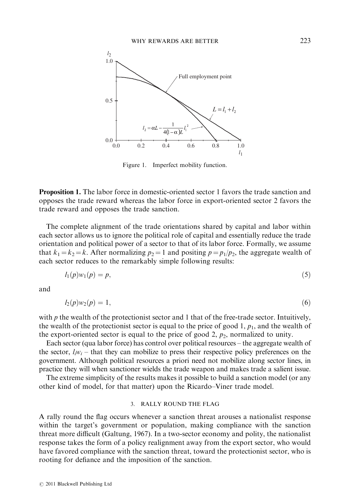

Figure 1. Imperfect mobility function.

Proposition 1. The labor force in domestic-oriented sector 1 favors the trade sanction and opposes the trade reward whereas the labor force in export-oriented sector 2 favors the trade reward and opposes the trade sanction.

The complete alignment of the trade orientations shared by capital and labor within each sector allows us to ignore the political role of capital and essentially reduce the trade orientation and political power of a sector to that of its labor force. Formally, we assume that  $k_1 = k_2 = k$ . After normalizing  $p_2 = 1$  and positing  $p = p_1/p_2$ , the aggregate wealth of each sector reduces to the remarkably simple following results:

$$
l_1(p)w_1(p) = p,\tag{5}
$$

and

$$
l_2(p)w_2(p) = 1,\t\t(6)
$$

with  $p$  the wealth of the protectionist sector and 1 that of the free-trade sector. Intuitively, the wealth of the protectionist sector is equal to the price of good 1,  $p_1$ , and the wealth of the export-oriented sector is equal to the price of good 2,  $p_2$ , normalized to unity.

Each sector (qua labor force) has control over political resources – the aggregate wealth of the sector,  $l_i w_i$  – that they can mobilize to press their respective policy preferences on the government. Although political resources a priori need not mobilize along sector lines, in practice they will when sanctioner wields the trade weapon and makes trade a salient issue.

The extreme simplicity of the results makes it possible to build a sanction model (or any other kind of model, for that matter) upon the Ricardo–Viner trade model.

### 3. RALLY ROUND THE FLAG

A rally round the flag occurs whenever a sanction threat arouses a nationalist response within the target's government or population, making compliance with the sanction threat more difficult (Galtung, 1967). In a two-sector economy and polity, the nationalist response takes the form of a policy realignment away from the export sector, who would have favored compliance with the sanction threat, toward the protectionist sector, who is rooting for defiance and the imposition of the sanction.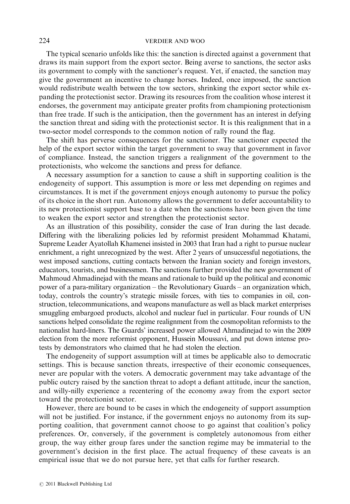The typical scenario unfolds like this: the sanction is directed against a government that draws its main support from the export sector. Being averse to sanctions, the sector asks its government to comply with the sanctioner's request. Yet, if enacted, the sanction may give the government an incentive to change horses. Indeed, once imposed, the sanction would redistribute wealth between the tow sectors, shrinking the export sector while expanding the protectionist sector. Drawing its resources from the coalition whose interest it endorses, the government may anticipate greater profits from championing protectionism than free trade. If such is the anticipation, then the government has an interest in defying the sanction threat and siding with the protectionist sector. It is this realignment that in a two-sector model corresponds to the common notion of rally round the flag.

The shift has perverse consequences for the sanctioner. The sanctioner expected the help of the export sector within the target government to sway that government in favor of compliance. Instead, the sanction triggers a realignment of the government to the protectionists, who welcome the sanctions and press for defiance.

A necessary assumption for a sanction to cause a shift in supporting coalition is the endogeneity of support. This assumption is more or less met depending on regimes and circumstances. It is met if the government enjoys enough autonomy to pursue the policy of its choice in the short run. Autonomy allows the government to defer accountability to its new protectionist support base to a date when the sanctions have been given the time to weaken the export sector and strengthen the protectionist sector.

As an illustration of this possibility, consider the case of Iran during the last decade. Differing with the liberalizing policies led by reformist president Mohammad Khatami, Supreme Leader Ayatollah Khamenei insisted in 2003 that Iran had a right to pursue nuclear enrichment, a right unrecognized by the west. After 2 years of unsuccessful negotiations, the west imposed sanctions, cutting contacts between the Iranian society and foreign investors, educators, tourists, and businessmen. The sanctions further provided the new government of Mahmoud Ahmadinejad with the means and rationale to build up the political and economic power of a para-military organization – the Revolutionary Guards – an organization which, today, controls the country's strategic missile forces, with ties to companies in oil, construction, telecommunications, and weapons manufacture as well as black market enterprises smuggling embargoed products, alcohol and nuclear fuel in particular. Four rounds of UN sanctions helped consolidate the regime realignment from the cosmopolitan reformists to the nationalist hard-liners. The Guards' increased power allowed Ahmadinejad to win the 2009 election from the more reformist opponent, Hussein Moussavi, and put down intense protests by demonstrators who claimed that he had stolen the election.

The endogeneity of support assumption will at times be applicable also to democratic settings. This is because sanction threats, irrespective of their economic consequences, never are popular with the voters. A democratic government may take advantage of the public outcry raised by the sanction threat to adopt a defiant attitude, incur the sanction, and willy-nilly experience a recentering of the economy away from the export sector toward the protectionist sector.

However, there are bound to be cases in which the endogeneity of support assumption will not be justified. For instance, if the government enjoys no autonomy from its supporting coalition, that government cannot choose to go against that coalition's policy preferences. Or, conversely, if the government is completely autonomous from either group, the way either group fares under the sanction regime may be immaterial to the government's decision in the first place. The actual frequency of these caveats is an empirical issue that we do not pursue here, yet that calls for further research.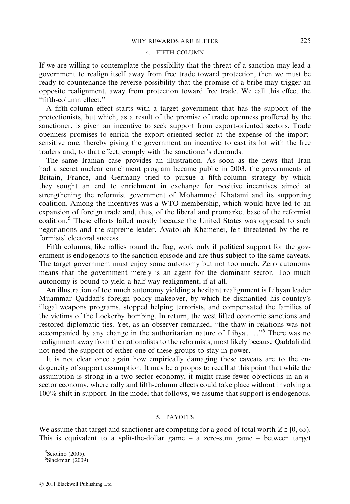### WHY REWARDS ARE BETTER 225

### 4. FIFTH COLUMN

If we are willing to contemplate the possibility that the threat of a sanction may lead a government to realign itself away from free trade toward protection, then we must be ready to countenance the reverse possibility that the promise of a bribe may trigger an opposite realignment, away from protection toward free trade. We call this effect the ''fifth-column effect.''

A fifth-column effect starts with a target government that has the support of the protectionists, but which, as a result of the promise of trade openness proffered by the sanctioner, is given an incentive to seek support from export-oriented sectors. Trade openness promises to enrich the export-oriented sector at the expense of the importsensitive one, thereby giving the government an incentive to cast its lot with the free traders and, to that effect, comply with the sanctioner's demands.

The same Iranian case provides an illustration. As soon as the news that Iran had a secret nuclear enrichment program became public in 2003, the governments of Britain, France, and Germany tried to pursue a fifth-column strategy by which they sought an end to enrichment in exchange for positive incentives aimed at strengthening the reformist government of Mohammad Khatami and its supporting coalition. Among the incentives was a WTO membership, which would have led to an expansion of foreign trade and, thus, of the liberal and promarket base of the reformist coalition.<sup>5</sup> These efforts failed mostly because the United States was opposed to such negotiations and the supreme leader, Ayatollah Khamenei, felt threatened by the reformists' electoral success.

Fifth columns, like rallies round the flag, work only if political support for the government is endogenous to the sanction episode and are thus subject to the same caveats. The target government must enjoy some autonomy but not too much. Zero autonomy means that the government merely is an agent for the dominant sector. Too much autonomy is bound to yield a half-way realignment, if at all.

An illustration of too much autonomy yielding a hesitant realignment is Libyan leader Muammar Qaddafi's foreign policy makeover, by which he dismantled his country's illegal weapons programs, stopped helping terrorists, and compensated the families of the victims of the Lockerby bombing. In return, the west lifted economic sanctions and restored diplomatic ties. Yet, as an observer remarked, ''the thaw in relations was not accompanied by any change in the authoritarian nature of Libya  $\dots$ <sup>16</sup> There was no realignment away from the nationalists to the reformists, most likely because Qaddafi did not need the support of either one of these groups to stay in power.

It is not clear once again how empirically damaging these caveats are to the endogeneity of support assumption. It may be a propos to recall at this point that while the assumption is strong in a two-sector economy, it might raise fewer objections in an nsector economy, where rally and fifth-column effects could take place without involving a 100% shift in support. In the model that follows, we assume that support is endogenous.

### 5. PAYOFFS

We assume that target and sanctioner are competing for a good of total worth  $Z \in [0, \infty)$ . This is equivalent to a split-the-dollar game  $-$  a zero-sum game  $-$  between target

5 Sciolino (2005). 6 Slackman (2009).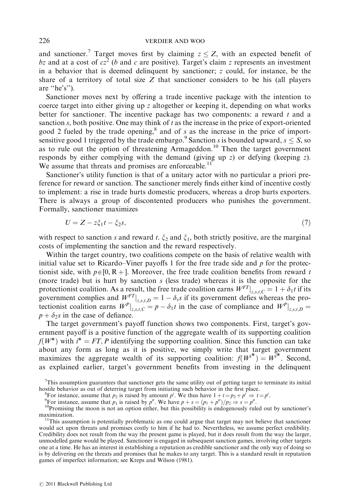and sanctioner.<sup>7</sup> Target moves first by claiming  $z \leq Z$ , with an expected benefit of bz and at a cost of  $c\overline{z}^2$  (b and c are positive). Target's claim z represents an investment in a behavior that is deemed delinquent by sanctioner; z could, for instance, be the share of a territory of total size  $Z$  that sanctioner considers to be his (all players are ''he's'').

Sanctioner moves next by offering a trade incentive package with the intention to coerce target into either giving up z altogether or keeping it, depending on what works better for sanctioner. The incentive package has two components: a reward  $t$  and a sanction s, both positive. One may think of t as the increase in the price of export-oriented good 2 fueled by the trade opening, $8$  and of s as the increase in the price of importsensitive good 1 triggered by the trade embargo.<sup>9</sup> Sanction s is bounded upward,  $s \leq S$ , so as to rule out the option of threatening Armageddon.<sup>10</sup> Then the target government responds by either complying with the demand (giving up z) or defying (keeping z). We assume that threats and promises are enforceable.<sup>11</sup>

Sanctioner's utility function is that of a unitary actor with no particular a priori preference for reward or sanction. The sanctioner merely finds either kind of incentive costly to implement: a rise in trade hurts domestic producers, whereas a drop hurts exporters. There is always a group of discontented producers who punishes the government. Formally, sanctioner maximizes

$$
U = Z - z\xi_1 t - \xi_2 s,\tag{7}
$$

with respect to sanction s and reward t.  $\xi_2$  and  $\xi_1$ , both strictly positive, are the marginal costs of implementing the sanction and the reward respectively.

Within the target country, two coalitions compete on the basis of relative wealth with initial value set to Ricardo–Viner payoffs 1 for the free trade side and  $p$  for the protectionist side, with  $p \in [0, R + ]$ . Moreover, the free trade coalition benefits from reward t (more trade) but is hurt by sanction  $s$  (less trade) whereas it is the opposite for the protectionist coalition. As a result, the free trade coalition earns  $W^{FT}|_{z,s,t,C} = 1 + \delta_1 t$  if its government complies and  $W^{FT}|_{z,s,t,D} = 1 - \delta_s s$  if its government defies whereas the protectionist coalition earns  $W^P|_{z,s,t,C} = p - \delta_1 t$  in the case of compliance and  $W^P|_{z,s,t,D} =$  $p + \delta_2$ s in the case of defiance.

The target government's payoff function shows two components. First, target's government payoff is a positive function of the aggregate wealth of its supporting coalition  $f(W^*)$  with  $i^* = FT$ , P identifying the supporting coalition. Since this function can take about any form as long as it is positive, we simply write that target government maximizes the aggregate wealth of its supporting coalition:  $f(W^*) = W^*$ . Second, as explained earlier, target's government benefits from investing in the delinquent

<sup>7</sup> This assumption guarantees that sanctioner gets the same utility out of getting target to terminate its initial hostile behavior as out of deterring target from initiating such behavior in the first place.

For instance, assume that  $p_2$  is raised by amount p'. We thus have  $1 + t = p_2 + p' \Rightarrow t = p'$ .<br><sup>9</sup> For instance, assume that n, is raised by n''. We have n  $1 + t = (p_1 + p'')/p_2 \Rightarrow s = p''$ .

For instance, assume that  $p_1$  is raised by p''. We have  $p + s = (p_1 + p'')/p_2 \Rightarrow s = p''$ .<br><sup>10</sup>Promising the moon is not an option either, but this possibility is endogenously ruled out by sanctioner's maximization.

 $11$ This assumption is potentially problematic as one could argue that target may not believe that sanctioner would act upon threats and promises costly to him if he had to. Nevertheless, we assume perfect credibility. Credibility does not result from the way the present game is played, but it does result from the way the larger, unmodelled game would be played. Sanctioner is engaged in subsequent sanction games, involving other targets one at a time. He has an interest in establishing a reputation as credible sanctioner and the only way of doing so is by delivering on the threats and promises that he makes to any target. This is a standard result in reputation games of imperfect information; see Kreps and Wilson (1981).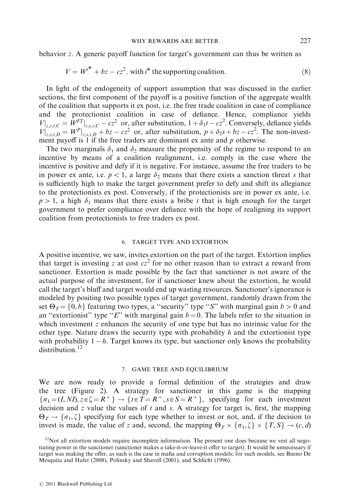behavior z. A generic payoff function for target's government can thus be written as

$$
V = W^{i*} + bz - cz^2
$$
, with *i*\* the supporting coalition. (8)

In light of the endogeneity of support assumption that was discussed in the earlier sections, the first component of the payoff is a positive function of the aggregate wealth of the coalition that supports it ex post, i.e. the free trade coalition in case of compliance and the protectionist coalition in case of defiance. Hence, compliance yields  $V|_{z,s,t,C} = W_{z,s,t,C}^{FT}|_{z,s,t,C} - cz^2$  or, after substitution,  $1 + \delta_1 t - cz^2$ . Conversely, defiance yields  $V|_{z,s,t,D} = W^P|_{z,s,t,D} + bz - cz^2$  or, after substitution,  $p + \delta_2 s + bz - cz^2$ . The non-investment payoff is  $1$  if the free traders are dominant ex ante and  $p$  otherwise.

The two marginals  $\delta_1$  and  $\delta_2$  measure the propensity of the regime to respond to an incentive by means of a coalition realignment, i.e. comply in the case where the incentive is positive and defy if it is negative. For instance, assume the free traders to be in power ex ante, i.e.  $p < 1$ , a large  $\delta_2$  means that there exists a sanction threat s that is sufficiently high to make the target government prefer to defy and shift its allegiance to the protectionists ex post. Conversely, if the protectionists are in power ex ante, i.e.  $p > 1$ , a high  $\delta_1$  means that there exists a bribe t that is high enough for the target government to prefer compliance over defiance with the hope of realigning its support coalition from protectionists to free traders ex post.

# 6. TARGET TYPE AND EXTORTION

A positive incentive, we saw, invites extortion on the part of the target. Extortion implies that target is investing z at cost  $cz^2$  for no other reason than to extract a reward from sanctioner. Extortion is made possible by the fact that sanctioner is not aware of the actual purpose of the investment, for if sanctioner knew about the extortion, he would call the target's bluff and target would end up wasting resources. Sanctioner's ignorance is modeled by positing two possible types of target government, randomly drawn from the set  $\Theta_T = \{0, b\}$  featuring two types, a "security" type "S" with marginal gain  $b > 0$  and an "extortionist" type "E" with marginal gain  $b = 0$ . The labels refer to the situation in which investment z enhances the security of one type but has no intrinsic value for the other type. Nature draws the security type with probability  $h$  and the extortionist type with probability  $1-h$ . Target knows its type, but sanctioner only knows the probability distribution.<sup>12</sup>

### 7. GAME TREE AND EQUILIBRIUM

We are now ready to provide a formal definition of the strategies and draw the tree (Figure 2). A strategy for sanctioner in this game is the mapping  ${\sigma_1 = (I, NI), z \in \zeta = R^+ } \rightarrow {t \in T = R^+, s \in S = R^+ }$ , specifying for each investment decision and z value the values of  $t$  and  $s$ . A strategy for target is, first, the mapping  $\Theta_T \rightarrow {\{\sigma_1,\zeta\}}$  specifying for each type whether to invest or not, and, if the decision to invest is made, the value of z and, second, the mapping  $\Theta_T \times {\{\sigma_1, \zeta\}} \times {\{T, S\}} \rightarrow (c, d)$ 

 $12$ Not all extortion models require incomplete information. The present one does because we vest all negotiating power in the sanctioner (sanctioner makes a take-it-or-leave-it offer to target). It would be unnecessary if target was making the offer, as such is the case in mafia and corruption models; for such models, see Bueno De Mesquita and Hafer (2008), Polinsky and Shavell (2001), and Schlicht (1996).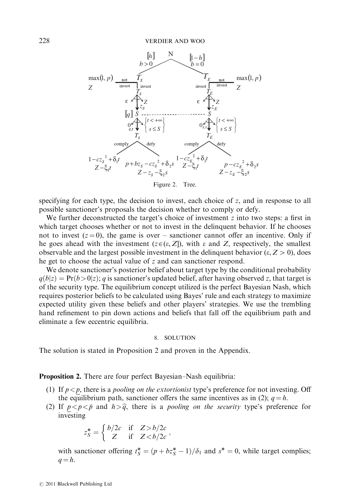

Figure 2. Tree.

specifying for each type, the decision to invest, each choice of  $z$ , and in response to all possible sanctioner's proposals the decision whether to comply or defy.

We further deconstructed the target's choice of investment  $z$  into two steps: a first in which target chooses whether or not to invest in the delinquent behavior. If he chooses not to invest  $(z = 0)$ , the game is over – sanctioner cannot offer an incentive. Only if he goes ahead with the investment ( $z \in (\varepsilon, Z]$ ), with  $\varepsilon$  and Z, respectively, the smallest observable and the largest possible investment in the delinquent behavior ( $\varepsilon$ ,  $Z > 0$ ), does he get to choose the actual value of z and can sanctioner respond.

We denote sanctioner's posterior belief about target type by the conditional probability  $q(b|z) = Pr(b>0|z)$ ; q is sanctioner's updated belief, after having observed z, that target is of the security type. The equilibrium concept utilized is the perfect Bayesian Nash, which requires posterior beliefs to be calculated using Bayes' rule and each strategy to maximize expected utility given these beliefs and other players' strategies. We use the trembling hand refinement to pin down actions and beliefs that fall off the equilibrium path and eliminate a few eccentric equilibria.

#### 8. SOLUTION

The solution is stated in Proposition 2 and proven in the Appendix.

# Proposition 2. There are four perfect Bayesian–Nash equilibria:

- (1) If  $p < p$ , there is a *pooling on the extortionist* type's preference for not investing. Off the equilibrium path, sanctioner offers the same incentives as in (2);  $q = h$ .
- (2) If  $p < p < \bar{p}$  and  $h > \hat{q}$ , there is a *pooling on the security* type's preference for investing

$$
z_S^* = \begin{cases} b/2c & \text{if } Z > b/2c \\ Z & \text{if } Z < b/2c \end{cases}
$$

with sanctioner offering  $t_s^* = (p + bz_s^* - 1)/\delta_1$  and  $s^* = 0$ , while target complies;  $q = h$ .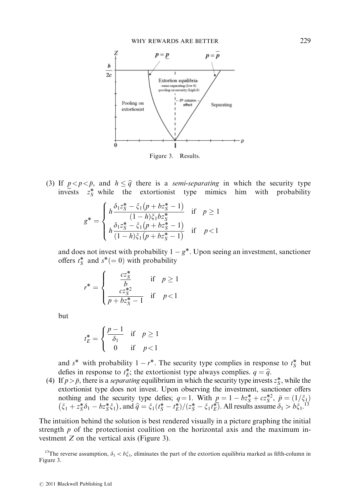

(3) If  $\underline{p} < p < \overline{p}$ , and  $h \le \widehat{q}$  there is a semi-separating in which the security type invests  $z_S^*$  while the extortionist type mimics him with probability

$$
g^* = \begin{cases} h \frac{\delta_1 z_S^* - \xi_1 (p + b z_S^* - 1)}{(1 - h) \xi_1 b z_S^*} & \text{if } p \ge 1\\ h \frac{\delta_1 z_S^* - \xi_1 (p + b z_S^* - 1)}{(1 - h) \xi_1 (p + b z_S^* - 1)} & \text{if } p < 1 \end{cases}
$$

and does not invest with probability  $1 - g^*$ . Upon seeing an investment, sanctioner offers  $t_s^*$  and  $s^* (= 0)$  with probability

$$
r^* = \begin{cases} \frac{cz_S^*}{b} & \text{if } p \ge 1\\ \frac{cz_S^*}{p + bz_S^* - 1} & \text{if } p < 1 \end{cases}
$$

but

$$
t_E^* = \begin{cases} \frac{p-1}{\delta_1} & \text{if } p \ge 1\\ 0 & \text{if } p < 1 \end{cases}
$$

and  $s^*$  with probability  $1 - r^*$ . The security type complies in response to  $t^*_S$  but defies in response to  $t_E^*$ ; the extortionist type always complies.  $q = \hat{q}$ .

(4) If  $p > \bar{p}$ , there is a *separating* equilibrium in which the security type invests  $z_s^*$ , while the extortionist type does not invest. Upon observing the investment, sanctioner offers nothing and the security type defies;  $q=1$ . With  $\underline{p} = 1 - bz_S^* + cz_S^{*2}$ ,  $\overline{p} = (1/\xi_1)$  $(\xi_1 + z_5^* \delta_1 - b z_5^* \xi_1)$ , and  $\hat{q} = \xi_1 (t_5^* - t_E^*) / (z_5^* - \xi_1 t_E^*)$ . All results assume  $\delta_1 > b \xi_1$ .<sup>13</sup>

The intuition behind the solution is best rendered visually in a picture graphing the initial strength  $p$  of the protectionist coalition on the horizontal axis and the maximum investment  $Z$  on the vertical axis (Figure 3).

<sup>13</sup>The reverse assumption,  $\delta_1 < b \xi_1$ , eliminates the part of the extortion equilibria marked as fifth-column in Figure 3.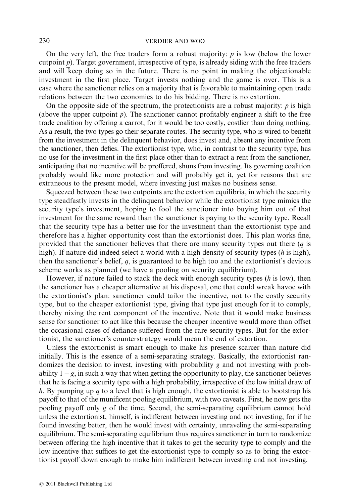On the very left, the free traders form a robust majority:  $p$  is low (below the lower cutpoint  $p$ ). Target government, irrespective of type, is already siding with the free traders and will keep doing so in the future. There is no point in making the objectionable investment in the first place. Target invests nothing and the game is over. This is a case where the sanctioner relies on a majority that is favorable to maintaining open trade relations between the two economies to do his bidding. There is no extortion.

On the opposite side of the spectrum, the protectionists are a robust majority:  $p$  is high (above the upper cutpoint  $\bar{p}$ ). The sanctioner cannot profitably engineer a shift to the free trade coalition by offering a carrot, for it would be too costly, costlier than doing nothing. As a result, the two types go their separate routes. The security type, who is wired to benefit from the investment in the delinquent behavior, does invest and, absent any incentive from the sanctioner, then defies. The extortionist type, who, in contrast to the security type, has no use for the investment in the first place other than to extract a rent from the sanctioner, anticipating that no incentive will be proffered, shuns from investing. Its governing coalition probably would like more protection and will probably get it, yet for reasons that are extraneous to the present model, where investing just makes no business sense.

Squeezed between these two cutpoints are the extortion equilibria, in which the security type steadfastly invests in the delinquent behavior while the extortionist type mimics the security type's investment, hoping to fool the sanctioner into buying him out of that investment for the same reward than the sanctioner is paying to the security type. Recall that the security type has a better use for the investment than the extortionist type and therefore has a higher opportunity cost than the extortionist does. This plan works fine, provided that the sanctioner believes that there are many security types out there  $(q$  is high). If nature did indeed select a world with a high density of security types  $(h \text{ is high})$ , then the sanctioner's belief,  $q$ , is guaranteed to be high too and the extortionist's devious scheme works as planned (we have a pooling on security equilibrium).

However, if nature failed to stack the deck with enough security types  $(h \text{ is low})$ , then the sanctioner has a cheaper alternative at his disposal, one that could wreak havoc with the extortionist's plan: sanctioner could tailor the incentive, not to the costly security type, but to the cheaper extortionist type, giving that type just enough for it to comply, thereby nixing the rent component of the incentive. Note that it would make business sense for sanctioner to act like this because the cheaper incentive would more than offset the occasional cases of defiance suffered from the rare security types. But for the extortionist, the sanctioner's counterstrategy would mean the end of extortion.

Unless the extortionist is smart enough to make his presence scarcer than nature did initially. This is the essence of a semi-separating strategy. Basically, the extortionist randomizes the decision to invest, investing with probability g and not investing with probability  $1-g$ , in such a way that when getting the opportunity to play, the sanctioner believes that he is facing a security type with a high probability, irrespective of the low initial draw of h. By pumping up q to a level that is high enough, the extortionist is able to bootstrap his payoff to that of the munificent pooling equilibrium, with two caveats. First, he now gets the pooling payoff only  $g$  of the time. Second, the semi-separating equilibrium cannot hold unless the extortionist, himself, is indifferent between investing and not investing, for if he found investing better, then he would invest with certainty, unraveling the semi-separating equilibrium. The semi-separating equilibrium thus requires sanctioner in turn to randomize between offering the high incentive that it takes to get the security type to comply and the low incentive that suffices to get the extortionist type to comply so as to bring the extortionist payoff down enough to make him indifferent between investing and not investing.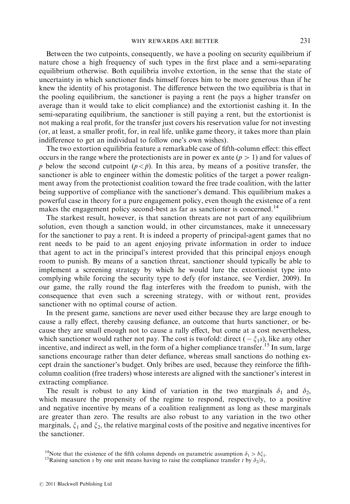Between the two cutpoints, consequently, we have a pooling on security equilibrium if nature chose a high frequency of such types in the first place and a semi-separating equilibrium otherwise. Both equilibria involve extortion, in the sense that the state of uncertainty in which sanctioner finds himself forces him to be more generous than if he knew the identity of his protagonist. The difference between the two equilibria is that in the pooling equilibrium, the sanctioner is paying a rent (he pays a higher transfer on average than it would take to elicit compliance) and the extortionist cashing it. In the semi-separating equilibrium, the sanctioner is still paying a rent, but the extortionist is not making a real profit, for the transfer just covers his reservation value for not investing (or, at least, a smaller profit, for, in real life, unlike game theory, it takes more than plain indifference to get an individual to follow one's own wishes).

The two extortion equilibria feature a remarkable case of fifth-column effect: this effect occurs in the range where the protectionists are in power ex ante  $(p>1)$  and for values of p below the second cutpoint  $(p < \bar{p})$ . In this area, by means of a positive transfer, the sanctioner is able to engineer within the domestic politics of the target a power realignment away from the protectionist coalition toward the free trade coalition, with the latter being supportive of compliance with the sanctioner's demand. This equilibrium makes a powerful case in theory for a pure engagement policy, even though the existence of a rent makes the engagement policy second-best as far as sanctioner is concerned.<sup>14</sup>

The starkest result, however, is that sanction threats are not part of any equilibrium solution, even though a sanction would, in other circumstances, make it unnecessary for the sanctioner to pay a rent. It is indeed a property of principal-agent games that no rent needs to be paid to an agent enjoying private information in order to induce that agent to act in the principal's interest provided that this principal enjoys enough room to punish. By means of a sanction threat, sanctioner should typically be able to implement a screening strategy by which he would lure the extortionist type into complying while forcing the security type to defy (for instance, see Verdier, 2009). In our game, the rally round the flag interferes with the freedom to punish, with the consequence that even such a screening strategy, with or without rent, provides sanctioner with no optimal course of action.

In the present game, sanctions are never used either because they are large enough to cause a rally effect, thereby causing defiance, an outcome that hurts sanctioner, or because they are small enough not to cause a rally effect, but come at a cost nevertheless, which sanctioner would rather not pay. The cost is twofold: direct  $(-\xi_1 s)$ , like any other incentive, and indirect as well, in the form of a higher compliance transfer.<sup>15</sup> In sum, large sanctions encourage rather than deter defiance, whereas small sanctions do nothing except drain the sanctioner's budget. Only bribes are used, because they reinforce the fifthcolumn coalition (free traders) whose interests are aligned with the sanctioner's interest in extracting compliance.

The result is robust to any kind of variation in the two marginals  $\delta_1$  and  $\delta_2$ , which measure the propensity of the regime to respond, respectively, to a positive and negative incentive by means of a coalition realignment as long as these marginals are greater than zero. The results are also robust to any variation in the two other marginals,  $\xi_1$  and  $\xi_2$ , the relative marginal costs of the positive and negative incentives for the sanctioner.

<sup>&</sup>lt;sup>14</sup>Note that the existence of the fifth column depends on parametric assumption  $\delta_1 > b\xi_1$ . <sup>15</sup>Raising sanction s by one unit means having to raise the compliance transfer t by  $\delta_2/\delta_1$ .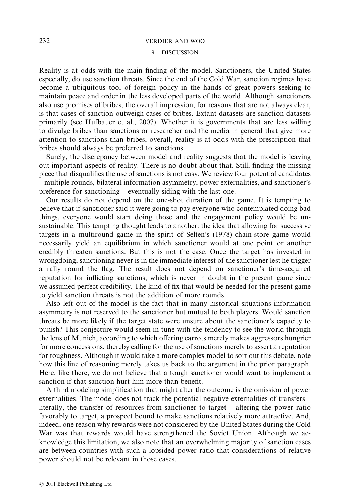#### 9. DISCUSSION

Reality is at odds with the main finding of the model. Sanctioners, the United States especially, do use sanction threats. Since the end of the Cold War, sanction regimes have become a ubiquitous tool of foreign policy in the hands of great powers seeking to maintain peace and order in the less developed parts of the world. Although sanctioners also use promises of bribes, the overall impression, for reasons that are not always clear, is that cases of sanction outweigh cases of bribes. Extant datasets are sanction datasets primarily (see Hufbauer et al., 2007). Whether it is governments that are less willing to divulge bribes than sanctions or researcher and the media in general that give more attention to sanctions than bribes, overall, reality is at odds with the prescription that bribes should always be preferred to sanctions.

Surely, the discrepancy between model and reality suggests that the model is leaving out important aspects of reality. There is no doubt about that. Still, finding the missing piece that disqualifies the use of sanctions is not easy. We review four potential candidates – multiple rounds, bilateral information asymmetry, power externalities, and sanctioner's preference for sanctioning – eventually siding with the last one.

Our results do not depend on the one-shot duration of the game. It is tempting to believe that if sanctioner said it were going to pay everyone who contemplated doing bad things, everyone would start doing those and the engagement policy would be unsustainable. This tempting thought leads to another: the idea that allowing for successive targets in a multiround game in the spirit of Selten's (1978) chain-store game would necessarily yield an equilibrium in which sanctioner would at one point or another credibly threaten sanctions. But this is not the case. Once the target has invested in wrongdoing, sanctioning never is in the immediate interest of the sanctioner lest he trigger a rally round the flag. The result does not depend on sanctioner's time-acquired reputation for inflicting sanctions, which is never in doubt in the present game since we assumed perfect credibility. The kind of fix that would be needed for the present game to yield sanction threats is not the addition of more rounds.

Also left out of the model is the fact that in many historical situations information asymmetry is not reserved to the sanctioner but mutual to both players. Would sanction threats be more likely if the target state were unsure about the sanctioner's capacity to punish? This conjecture would seem in tune with the tendency to see the world through the lens of Munich, according to which offering carrots merely makes aggressors hungrier for more concessions, thereby calling for the use of sanctions merely to assert a reputation for toughness. Although it would take a more complex model to sort out this debate, note how this line of reasoning merely takes us back to the argument in the prior paragraph. Here, like there, we do not believe that a tough sanctioner would want to implement a sanction if that sanction hurt him more than benefit.

A third modeling simplification that might alter the outcome is the omission of power externalities. The model does not track the potential negative externalities of transfers – literally, the transfer of resources from sanctioner to target – altering the power ratio favorably to target, a prospect bound to make sanctions relatively more attractive. And, indeed, one reason why rewards were not considered by the United States during the Cold War was that rewards would have strengthened the Soviet Union. Although we acknowledge this limitation, we also note that an overwhelming majority of sanction cases are between countries with such a lopsided power ratio that considerations of relative power should not be relevant in those cases.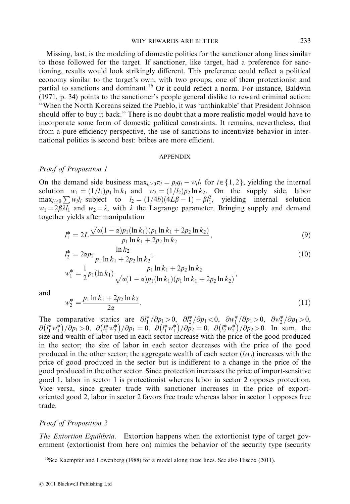### WHY REWARDS ARE BETTER 233

Missing, last, is the modeling of domestic politics for the sanctioner along lines similar to those followed for the target. If sanctioner, like target, had a preference for sanctioning, results would look strikingly different. This preference could reflect a political economy similar to the target's own, with two groups, one of them protectionist and partial to sanctions and dominant.<sup>16</sup> Or it could reflect a norm. For instance, Baldwin (1971, p. 34) points to the sanctioner's people general dislike to reward criminal action: ''When the North Koreans seized the Pueblo, it was 'unthinkable' that President Johnson should offer to buy it back.'' There is no doubt that a more realistic model would have to incorporate some form of domestic political constraints. It remains, nevertheless, that from a pure efficiency perspective, the use of sanctions to incentivize behavior in international politics is second best: bribes are more efficient.

#### APPENDIX

# Proof of Proposition 1

On the demand side business  $\max_{i \geq 0} \pi_i = p_i q_i - w_i l_i$  for  $i \in \{1, 2\}$ , yielding the internal solution  $w_1 = (1/l_1)p_1 \ln k_1$  and  $w_2 = (1/l_2)p_2 \ln k_2$ . On the supply side, labor  $\max_{l_1 \geq 0} \sum w_i l_i$  subject to  $l_2 = (1/4b)(4L\beta - 1) - \beta l_1^2$ , yielding internal solution  $w_1 = 2\beta \lambda l_1$  and  $w_2 = \lambda$ , with  $\lambda$  the Lagrange parameter. Bringing supply and demand together yields after manipulation

$$
l_1^* = 2L \frac{\sqrt{\alpha (1 - \alpha) p_1 (\ln k_1) (p_1 \ln k_1 + 2p_2 \ln k_2)}}{p_1 \ln k_1 + 2p_2 \ln k_2},
$$
\n(9)

$$
l_2^* = 2\alpha p_2 \frac{\ln k_2}{p_1 \ln k_1 + 2p_2 \ln k_2},\tag{10}
$$

$$
w_1^* = \frac{1}{2} p_1(\ln k_1) \frac{p_1 \ln k_1 + 2p_2 \ln k_2}{\sqrt{\alpha (1 - \alpha) p_1(\ln k_1) (p_1 \ln k_1 + 2p_2 \ln k_2)}},
$$

and

$$
w_2^* = \frac{p_1 \ln k_1 + 2p_2 \ln k_2}{2\alpha}.
$$
\n(11)

The comparative statics are  $\partial l_1^* / \partial p_1 > 0$ ,  $\partial l_2^* / \partial p_1 < 0$ ,  $\partial w_1^* / \partial p_1 > 0$ ,  $\partial w_2^* / \partial p_1 > 0$ ,  $\frac{\partial (l_1^* w_1^*)}{\partial p_1 > 0}, \frac{\partial (l_2^* w_2^*)}{\partial p_1 = 0}, \frac{\partial (l_1^* w_1^*)}{\partial p_2 = 0}, \frac{\partial (l_2^* w_2^*)}{\partial p_2 > 0}.$  In sum, the size and wealth of labor used in each sector increase with the price of the good produced in the sector; the size of labor in each sector decreases with the price of the good produced in the other sector; the aggregate wealth of each sector  $(l_iw_i)$  increases with the price of good produced in the sector but is indifferent to a change in the price of the good produced in the other sector. Since protection increases the price of import-sensitive good 1, labor in sector 1 is protectionist whereas labor in sector 2 opposes protection. Vice versa, since greater trade with sanctioner increases in the price of exportoriented good 2, labor in sector 2 favors free trade whereas labor in sector 1 opposes free trade.

# Proof of Proposition 2

The Extortion Equilibria. Extortion happens when the extortionist type of target government (extortionist from here on) mimics the behavior of the security type (security

<sup>16</sup>See Kaempfer and Lowenberg (1988) for a model along these lines. See also Hiscox (2011).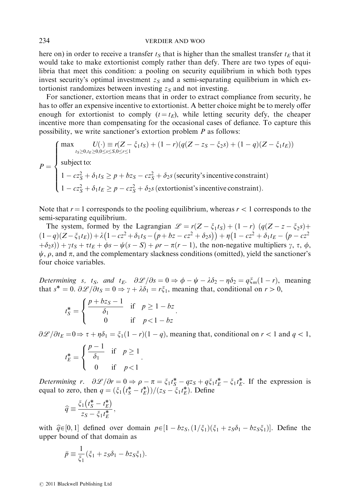here on) in order to receive a transfer  $t<sub>S</sub>$  that is higher than the smallest transfer  $t<sub>E</sub>$  that it would take to make extortionist comply rather than defy. There are two types of equilibria that meet this condition: a pooling on security equilibrium in which both types invest security's optimal investment  $z_s$  and a semi-separating equilibrium in which extortionist randomizes between investing  $z_s$  and not investing.

For sanctioner, extortion means that in order to extract compliance from security, he has to offer an expensive incentive to extortionist. A better choice might be to merely offer enough for extortionist to comply  $(t = t_F)$ , while letting security defy, the cheaper incentive more than compensating for the occasional cases of defiance. To capture this possibility, we write sanctioner's extortion problem P as follows:

$$
P = \begin{cases} \max \qquad U(\cdot) \equiv r(Z - \xi_1 t_S) + (1 - r)(q(Z - z_S - \xi_2 s) + (1 - q)(Z - \xi_1 t_E)) \\ \text{subject to:} \\ 1 - cz_S^2 + \delta_1 t_S \ge p + bz_S - cz_S^2 + \delta_2 s \text{ (security's incentive constraint)} \\ 1 - cz_S^2 + \delta_1 t_E \ge p - cz_S^2 + \delta_2 s \text{ (extortionist's incentive constraint)}. \end{cases}
$$

Note that  $r = 1$  corresponds to the pooling equilibrium, whereas  $r < 1$  corresponds to the semi-separating equilibrium.

The system, formed by the Lagrangian  $\mathcal{L} = r(Z - \xi_1 t_S) + (1 - r)(q(Z - z - \xi_2 s) +$  $(1-q)(Z-\xi_1t_E)) + \lambda(1-cz^2+\delta_1t_S-(p+bz-cz^2+\delta_2s)) + \eta(1-cz^2+\delta_1t_E-(p-cz^2))$  $(\phi_2(s)) + \gamma t_s + \tau t_E + \phi s - \psi(s - S) + \rho r - \pi(r - 1)$ , the non-negative multipliers  $\gamma$ ,  $\tau$ ,  $\phi$ ,  $\psi$ ,  $\rho$ , and  $\pi$ , and the complementary slackness conditions (omitted), yield the sanctioner's four choice variables.

Determining s, t<sub>S</sub>, and t<sub>E</sub>.  $\partial \mathcal{L}/\partial s = 0 \Rightarrow \phi - \psi - \lambda \delta_2 - \eta \delta_2 = q \xi_m (1 - r)$ , meaning that  $s^* = 0$ .  $\frac{\partial \mathscr{L}}{\partial t_S} = 0 \Rightarrow \gamma + \lambda \delta_1 = r \xi_1$ , meaning that, conditional on  $r > 0$ ,

$$
t_S^* = \begin{cases} \frac{p + bz_S - 1}{\delta_1} & \text{if } p \ge 1 - bz \\ 0 & \text{if } p < 1 - bz \end{cases}
$$

 $\partial \mathscr{L}/\partial t_E = 0 \Rightarrow \tau + \eta \delta_1 = \xi_1 (1 - r)(1 - q)$ , meaning that, conditional on  $r < 1$  and  $q < 1$ ,

$$
t_E^* = \begin{cases} \frac{p-1}{\delta_1} & \text{if } p \ge 1 \\ 0 & \text{if } p < 1 \end{cases}.
$$

Determining r.  $\partial \mathcal{L}/\partial r = 0 \Rightarrow \rho - \pi = \xi_1 t_S^* - qz_S + q \xi_1 t_E^* - \xi_1 t_E^*$ . If the expression is bettermining  $\vec{r}$ .  $\vec{v} \approx \vec{v}$   $\vec{v} = \vec{v} - \vec{v} - \vec{v} - \vec{v} - \vec{v} + \vec{v} - \vec{v} + \vec{v} - \vec{v} - \vec{v} - \vec{v} - \vec{v} - \vec{v} - \vec{v} - \vec{v} - \vec{v} - \vec{v} - \vec{v} - \vec{v} - \vec{v} - \vec{v} - \vec{v} - \vec{v} - \vec{v} - \vec{v} - \vec{v} - \vec{v} - \vec{v} - \vec{v} - \vec{$ 

$$
\widehat{q} \equiv \frac{\xi_1(t_S^* - t_E^*)}{z_S - \xi_1 t_E^*},
$$

with  $\hat{q} \in [0, 1]$  defined over domain  $p \in [1 - bz_S, (1/\xi_1)(\xi_1 + z_S\delta_1 - bz_S\xi_1)].$  Define the upper bound of that domain as

$$
\bar{p} \equiv \frac{1}{\xi_1} (\xi_1 + z_S \delta_1 - b z_S \xi_1).
$$

 $C$  2011 Blackwell Publishing Ltd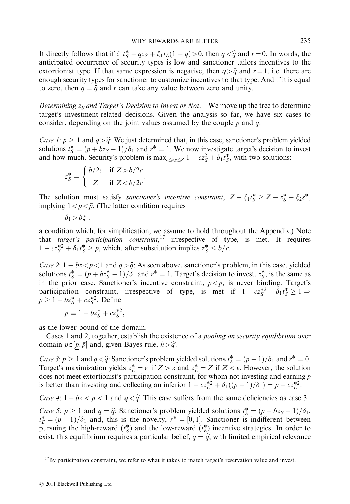It directly follows that if  $\xi_1 t_S^* - qz_S + \xi_1 t_E(1-q) > 0$ , then  $q < \hat{q}$  and  $r = 0$ . In words, the anticipated occurrence of security types is low and sanctioner tailors incentives to the extortionist type. If that same expression is negative, then  $q > \hat{q}$  and  $r = 1$ , i.e. there are enough security types for sanctioner to customize incentives to that type. And if it is equal to zero, then  $q = \hat{q}$  and r can take any value between zero and unity.

Determining  $z_S$  and Target's Decision to Invest or Not. We move up the tree to determine target's investment-related decisions. Given the analysis so far, we have six cases to consider, depending on the joint values assumed by the couple  $p$  and  $q$ .

*Case 1*:  $p \ge 1$  and  $q > \hat{q}$ : We just determined that, in this case, sanctioner's problem yielded solutions  $\vec{r_s} = (p + bz_s - 1)/\delta_1$  and  $\vec{r_s} = 1$ . We now investigate target's decision to invest and how much. Security's problem is  $\max_{\varepsilon \leq z_s \leq Z} 1 - cz_s^2 + \delta_1 t_s^*$ , with two solutions:

$$
z_S^* = \begin{cases} b/2c & \text{if } Z > b/2c \\ Z & \text{if } Z < b/2c \end{cases}
$$

The solution must satisfy *sanctioner's incentive constraint*,  $Z - \xi_1 t_S^* \ge Z - z_S^* - \xi_2 s^*$ , implying  $1 < p < \bar{p}$ . (The latter condition requires

$$
\delta_1 \!>\! b \xi_1,
$$

a condition which, for simplification, we assume to hold throughout the Appendix.) Note that target's participation constraint,  $17$  irrespective of type, is met. It requires  $1 - cz_s^*^2 + \delta_1 t_s^* \geq p$ , which, after substitution implies  $z_s^* \leq b/c$ .

Case 2:  $1 - bz < p < 1$  and  $q > \hat{q}$ : As seen above, sanctioner's problem, in this case, yielded solutions  $t_s^* = (p + bz_s^* - 1)/\delta_1$  and  $r^* = 1$ . Target's decision to invest,  $z_s^*$ , is the same as in the prior case. Sanctioner's incentive constraint,  $p < \bar{p}$ , is never binding. Target's participation constraint, irrespective of type, is met if  $1 - cz_s^{*2} + \delta_1 t_s^* \ge 1 \Rightarrow$  $p \ge 1 - bz_S^* + cz_S^{*2}$ . Define

$$
\underline{p} \equiv 1 - bz_S^* + cz_S^{*2},
$$

as the lower bound of the domain.

Cases 1 and 2, together, establish the existence of a pooling on security equilibrium over domain  $p \in [p, \bar{p}]$  and, given Bayes rule,  $h > \hat{q}$ .

Case 3:  $p \ge 1$  and  $q < \hat{q}$ : Sanctioner's problem yielded solutions  $t_E^* = (p-1)/\delta_1$  and  $r^* = 0$ . Target's maximization yields  $z_E^* = \varepsilon$  if  $Z > \varepsilon$  and  $z_E^* = Z$  if  $Z < \varepsilon$ . However, the solution does not meet extortionist's participation constraint, for whom not investing and earning  $p$ is better than investing and collecting an inferior  $1 - cz_E^{*2} + \delta_1((p-1)/\delta_1) = p - cz_E^{*2}$ .

Case 4:  $1 - bz < p < 1$  and  $q < \hat{q}$ . This case suffers from the same deficiencies as case 3.

Case 5:  $p \ge 1$  and  $q = \hat{q}$ : Sanctioner's problem yielded solutions  $t_s^* = (p + bz_S - 1)/\delta_1$ ,  $t_E^* = (p-1)/\delta_1$  and, this is the novelty,  $r^* = [0, 1]$ . Sanctioner is indifferent between pursuing the high-reward  $(t_s^*)$  and the low-reward  $(t_E^*)$  incentive strategies. In order to exist, this equilibrium requires a particular belief,  $q = \hat{q}$ , with limited empirical relevance

 $17By$  participation constraint, we refer to what it takes to match target's reservation value and invest.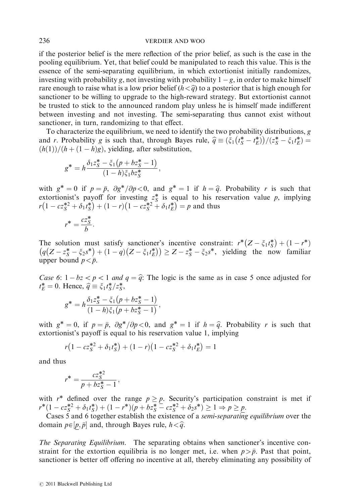if the posterior belief is the mere reflection of the prior belief, as such is the case in the pooling equilibrium. Yet, that belief could be manipulated to reach this value. This is the essence of the semi-separating equilibrium, in which extortionist initially randomizes, investing with probability g, not investing with probability  $1-g,$  in order to make himself rare enough to raise what is a low prior belief  $(h < \hat{a})$  to a posterior that is high enough for sanctioner to be willing to upgrade to the high-reward strategy. But extortionist cannot be trusted to stick to the announced random play unless he is himself made indifferent between investing and not investing. The semi-separating thus cannot exist without sanctioner, in turn, randomizing to that effect.

To characterize the equilibrium, we need to identify the two probability distributions,  $g$ and r. Probability g is such that, through Bayes rule,  $\hat{q} \equiv (\xi_1(t_5^* - t_E^*))/(z_5^* - \xi_1 t_E^*) =$  $(h(1))/(h+(1-h)g)$ , yielding, after substitution,

$$
g^* = h \frac{\delta_1 z_S^* - \xi_1 (p + bz_S^* - 1)}{(1 - h)\xi_1 bz_S^*},
$$

with  $g^* = 0$  if  $p = \bar{p}$ ,  $\partial g^* / \partial p < 0$ , and  $g^* = 1$  if  $h = \hat{q}$ . Probability r is such that extortionist's payoff for investing  $z_s^*$  is equal to his reservation value p, implying  $r(1 - cz_5^{*2} + \delta_1 t_5^{*}) + (1 - r)(1 - cz_5^{*2} + \delta_1 t_5^{*}) = p$  and thus

$$
r^* = \frac{cz_S^*}{b}.
$$

The solution must satisfy sanctioner's incentive constraint:  $r^{*}(Z - \xi_1 t_S^*) + (1 - r^{*})$  $(q(Z - z_s^* - \xi_2 s^*) + (1 - q)(Z - \xi_1 t_E^*)) \ge Z - z_s^* - \xi_2 s^*$ , yielding the now familiar upper bound  $p < \bar{p}$ .

Case 6:  $1 - bz < p < 1$  and  $q = \hat{q}$ : The logic is the same as in case 5 once adjusted for  $t_E^* = 0$ . Hence,  $\hat{q} \equiv \xi_1 t_S^* / z_S^*$ ,

$$
g^* = h \frac{\delta_1 z_S^* - \xi_1 (p + bz_S^* - 1)}{(1 - h)\xi_1 (p + bz_S^* - 1)},
$$

with  $g^* = 0$ , if  $p = \bar{p}$ ,  $\partial g^* / \partial p < 0$ , and  $g^* = 1$  if  $h = \hat{q}$ . Probability r is such that extortionist's payoff is equal to his reservation value 1, implying

$$
r(1 - cz_S^{*2} + \delta_1 t_S^*) + (1 - r)(1 - cz_S^{*2} + \delta_1 t_E^*) = 1
$$

and thus

$$
r^* = \frac{cz_S^{*2}}{p + bz_S^* - 1},
$$

with  $r^*$  defined over the range  $p \geq p$ . Security's participation constraint is met if  $r^*(1 - cz_S^{*2} + \delta_1 t_S^*) + (1 - r^*)(p + bz_S^* - cz_S^{*2} + \delta_2 s^*) \ge 1 \Rightarrow p \ge p.$ 

Cases 5 and 6 together establish the existence of a semi-separating equilibrium over the domain  $p \in [p, \bar{p}]$  and, through Bayes rule,  $h < \hat{q}$ .

The Separating Equilibrium. The separating obtains when sanctioner's incentive constraint for the extortion equilibria is no longer met, i.e. when  $p > \bar{p}$ . Past that point, sanctioner is better off offering no incentive at all, thereby eliminating any possibility of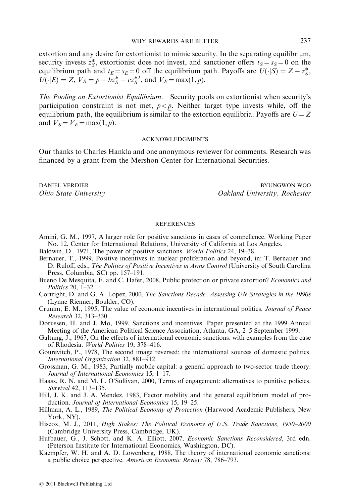extortion and any desire for extortionist to mimic security. In the separating equilibrium, security invests  $z_S^*$ , extortionist does not invest, and sanctioner offers  $t_S = s_S = 0$  on the equilibrium path and  $t_E = s_E = 0$  off the equilibrium path. Payoffs are  $U(\cdot|\vec{S}) = Z - z_S^*$ ,  $U(\cdot|E) = Z, V_S = p + bz_S^* - cz_S^{*2}$ , and  $V_E = \max(1, p)$ .

The Pooling on Extortionist Equilibrium. Security pools on extortionist when security's participation constraint is not met,  $p < p$ . Neither target type invests while, off the equilibrium path, the equilibrium is similar to the extortion equilibria. Payoffs are  $U = Z$ and  $V_s = V_E = \max(1, p)$ .

#### ACKNOWLEDGMENTS

Our thanks to Charles Hankla and one anonymous reviewer for comments. Research was financed by a grant from the Mershon Center for International Securities.

DANIEL VERDIER BYUNGWON WOO Ohio State University Oakland University, Rochester

### **REFERENCES**

- Amini, G. M., 1997, A larger role for positive sanctions in cases of compellence. Working Paper No. 12, Center for International Relations, University of California at Los Angeles.
- Baldwin, D., 1971, The power of positive sanctions. World Politics 24, 19–38.
- Bernauer, T., 1999, Positive incentives in nuclear proliferation and beyond, in: T. Bernauer and D. Ruloff, eds., The Politics of Positive Incentives in Arms Control (University of South Carolina Press, Columbia, SC) pp. 157–191.
- Bueno De Mesquita, E. and C. Hafer, 2008, Public protection or private extortion? Economics and Politics 20, 1–32.
- Cortright, D. and G. A. Lopez, 2000, The Sanctions Decade: Assessing UN Strategies in the 1990s (Lynne Rienner, Boulder, CO).
- Crumm, E. M., 1995, The value of economic incentives in international politics. Journal of Peace Research 32, 313–330.
- Dorussen, H. and J. Mo, 1999, Sanctions and incentives. Paper presented at the 1999 Annual Meeting of the American Political Science Association, Atlanta, GA, 2–5 September 1999.
- Galtung, J., 1967, On the effects of international economic sanctions: with examples from the case of Rhodesia. World Politics 19, 378–416.
- Gourevitch, P., 1978, The second image reversed: the international sources of domestic politics. International Organization 32, 881–912.
- Grossman, G. M., 1983, Partially mobile capital: a general approach to two-sector trade theory. Journal of International Economics 15, 1–17.
- Haass, R. N. and M. L. O'Sullivan, 2000, Terms of engagement: alternatives to punitive policies. Survival 42, 113–135.
- Hill, J. K. and J. A. Mendez, 1983, Factor mobility and the general equilibrium model of production. Journal of International Economics 15, 19–25.
- Hillman, A. L., 1989, The Political Economy of Protection (Harwood Academic Publishers, New York, NY).
- Hiscox, M. J., 2011, High Stakes: The Political Economy of U.S. Trade Sanctions, 1950–2000 (Cambridge University Press, Cambridge, UK).
- Hufbauer, G., J. Schott, and K. A. Elliott, 2007, Economic Sanctions Reconsidered, 3rd edn. (Peterson Institute for International Economics, Washington, DC).
- Kaempfer, W. H. and A. D. Lowenberg, 1988, The theory of international economic sanctions: a public choice perspective. American Economic Review 78, 786–793.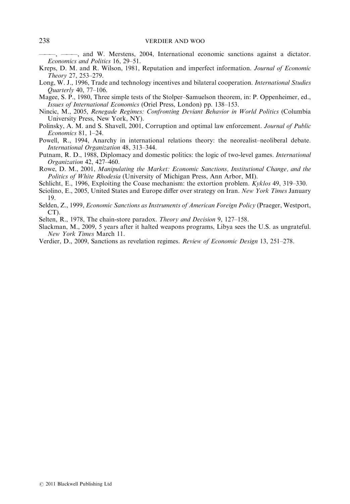———, ———, and W. Merstens, 2004, International economic sanctions against a dictator. Economics and Politics 16, 29–51.

- Kreps, D. M. and R. Wilson, 1981, Reputation and imperfect information. Journal of Economic Theory 27, 253–279.
- Long, W. J., 1996, Trade and technology incentives and bilateral cooperation. International Studies Quarterly 40, 77–106.
- Magee, S. P., 1980, Three simple tests of the Stolper–Samuelson theorem, in: P. Oppenheimer, ed., Issues of International Economics (Oriel Press, London) pp. 138–153.
- Nincic, M., 2005, Renegade Regimes: Confronting Deviant Behavior in World Politics (Columbia University Press, New York, NY).
- Polinsky, A. M. and S. Shavell, 2001, Corruption and optimal law enforcement. Journal of Public Economics 81, 1–24.
- Powell, R., 1994, Anarchy in international relations theory: the neorealist–neoliberal debate. International Organization 48, 313–344.
- Putnam, R. D., 1988, Diplomacy and domestic politics: the logic of two-level games. International Organization 42, 427–460.
- Rowe, D. M., 2001, Manipulating the Market: Economic Sanctions, Institutional Change, and the Politics of White Rhodesia (University of Michigan Press, Ann Arbor, MI).
- Schlicht, E., 1996, Exploiting the Coase mechanism: the extortion problem. Kyklos 49, 319–330.
- Sciolino, E., 2005, United States and Europe differ over strategy on Iran. New York Times January 19.
- Selden, Z., 1999, Economic Sanctions as Instruments of American Foreign Policy (Praeger, Westport, CT).
- Selten, R., 1978, The chain-store paradox. *Theory and Decision* 9, 127–158.
- Slackman, M., 2009, 5 years after it halted weapons programs, Libya sees the U.S. as ungrateful. New York Times March 11.
- Verdier, D., 2009, Sanctions as revelation regimes. Review of Economic Design 13, 251–278.